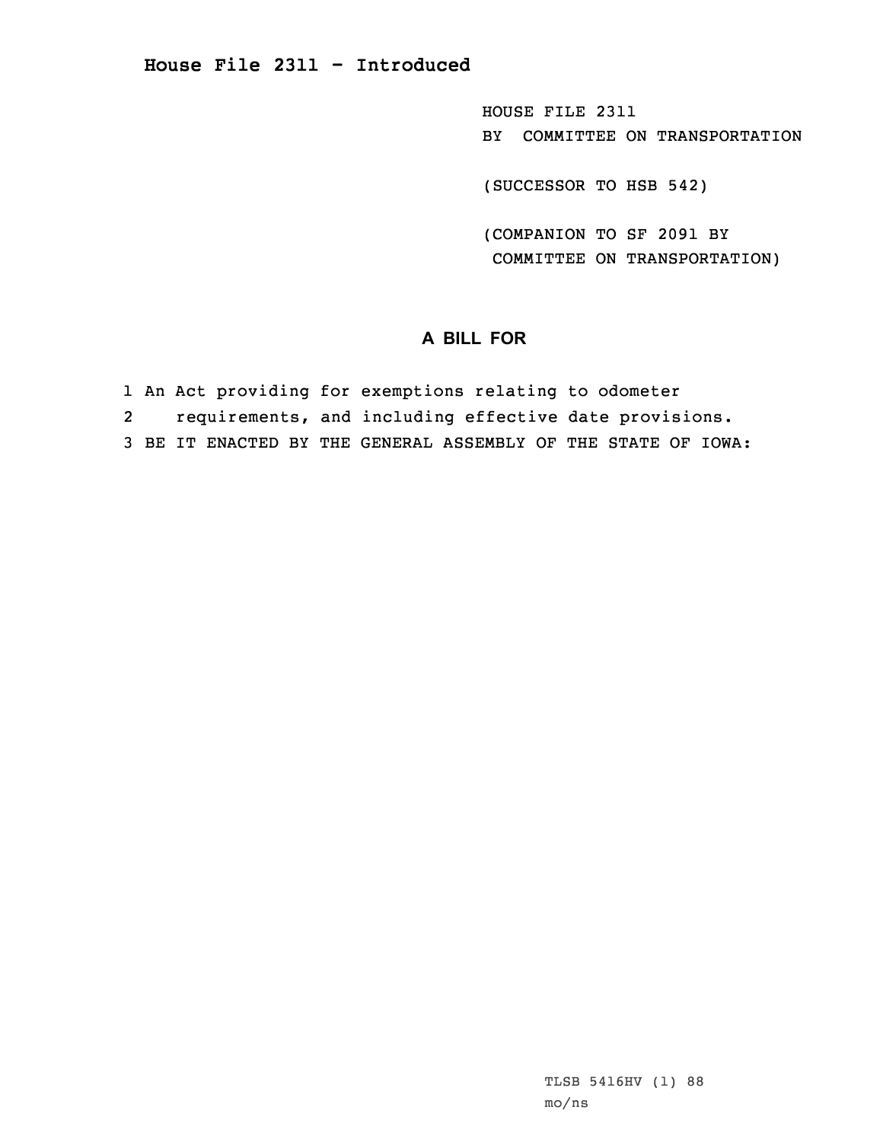HOUSE FILE 2311 BY COMMITTEE ON TRANSPORTATION

(SUCCESSOR TO HSB 542)

(COMPANION TO SF 2091 BY COMMITTEE ON TRANSPORTATION)

## **A BILL FOR**

- 1 An Act providing for exemptions relating to odometer
- 2requirements, and including effective date provisions.
- 3 BE IT ENACTED BY THE GENERAL ASSEMBLY OF THE STATE OF IOWA: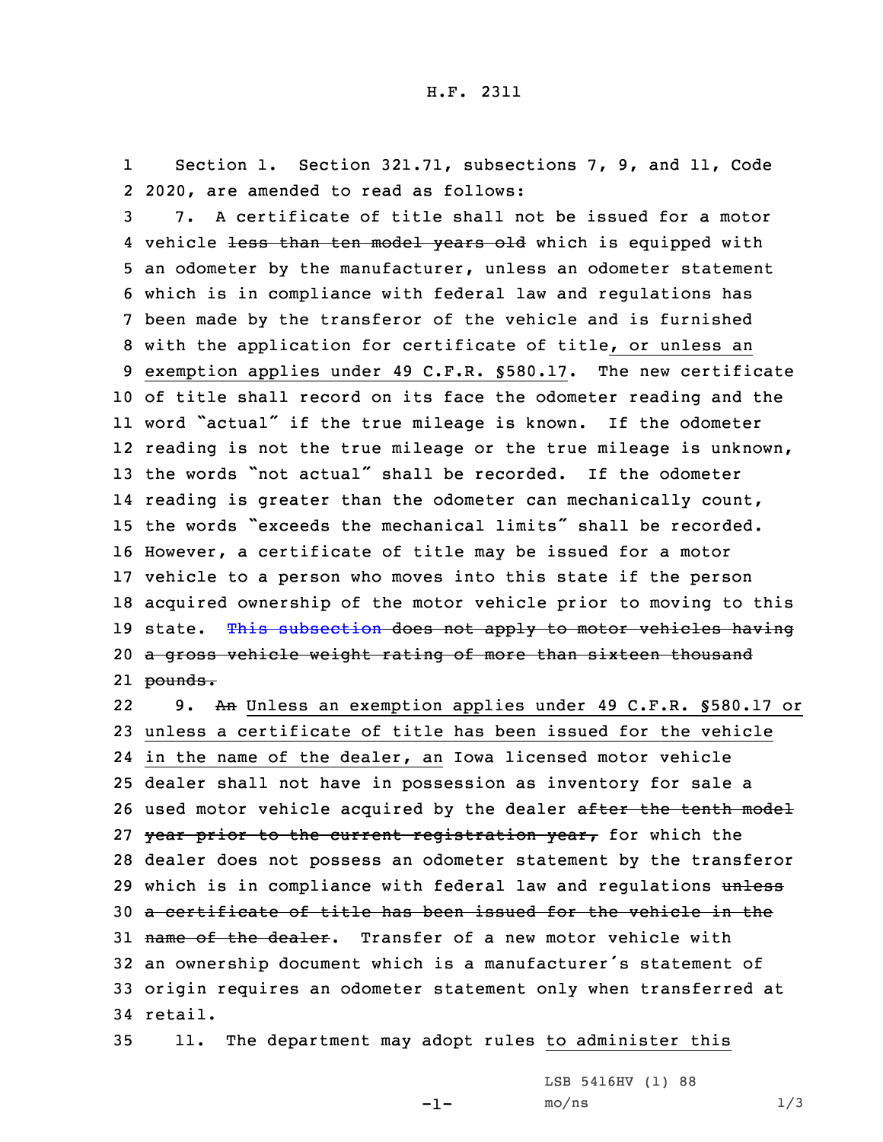1 Section 1. Section 321.71, subsections 7, 9, and 11, Code 2 2020, are amended to read as follows:

 7. A certificate of title shall not be issued for <sup>a</sup> motor 4 vehicle <del>less than ten model years old</del> which is equipped with an odometer by the manufacturer, unless an odometer statement which is in compliance with federal law and regulations has been made by the transferor of the vehicle and is furnished with the application for certificate of title, or unless an exemption applies under 49 C.F.R. §580.17. The new certificate of title shall record on its face the odometer reading and the word "actual" if the true mileage is known. If the odometer reading is not the true mileage or the true mileage is unknown, the words "not actual" shall be recorded. If the odometer reading is greater than the odometer can mechanically count, the words "exceeds the mechanical limits" shall be recorded. However, <sup>a</sup> certificate of title may be issued for <sup>a</sup> motor vehicle to <sup>a</sup> person who moves into this state if the person acquired ownership of the motor vehicle prior to moving to this 19 state. This [subsection](https://www.legis.iowa.gov/docs/code/2020/321.71.pdf) does not apply to motor vehicles having 20 a gross vehicle weight rating of more than sixteen thousand 21 <del>pounds.</del>

229. An Unless an exemption applies under 49 C.F.R. §580.17 or 23 unless <sup>a</sup> certificate of title has been issued for the vehicle 24 in the name of the dealer, an Iowa licensed motor vehicle 25 dealer shall not have in possession as inventory for sale <sup>a</sup> 26 used motor vehicle acquired by the dealer after the tenth model 27 year prior to the current registration year, for which the 28 dealer does not possess an odometer statement by the transferor 29 which is in compliance with federal law and regulations unless 30 <sup>a</sup> certificate of title has been issued for the vehicle in the 31 name of the dealer. Transfer of a new motor vehicle with <sup>32</sup> an ownership document which is <sup>a</sup> manufacturer's statement of 33 origin requires an odometer statement only when transferred at 34 retail.

35 11. The department may adopt rules to administer this

-1-

LSB 5416HV (1) 88  $mo/ns$  1/3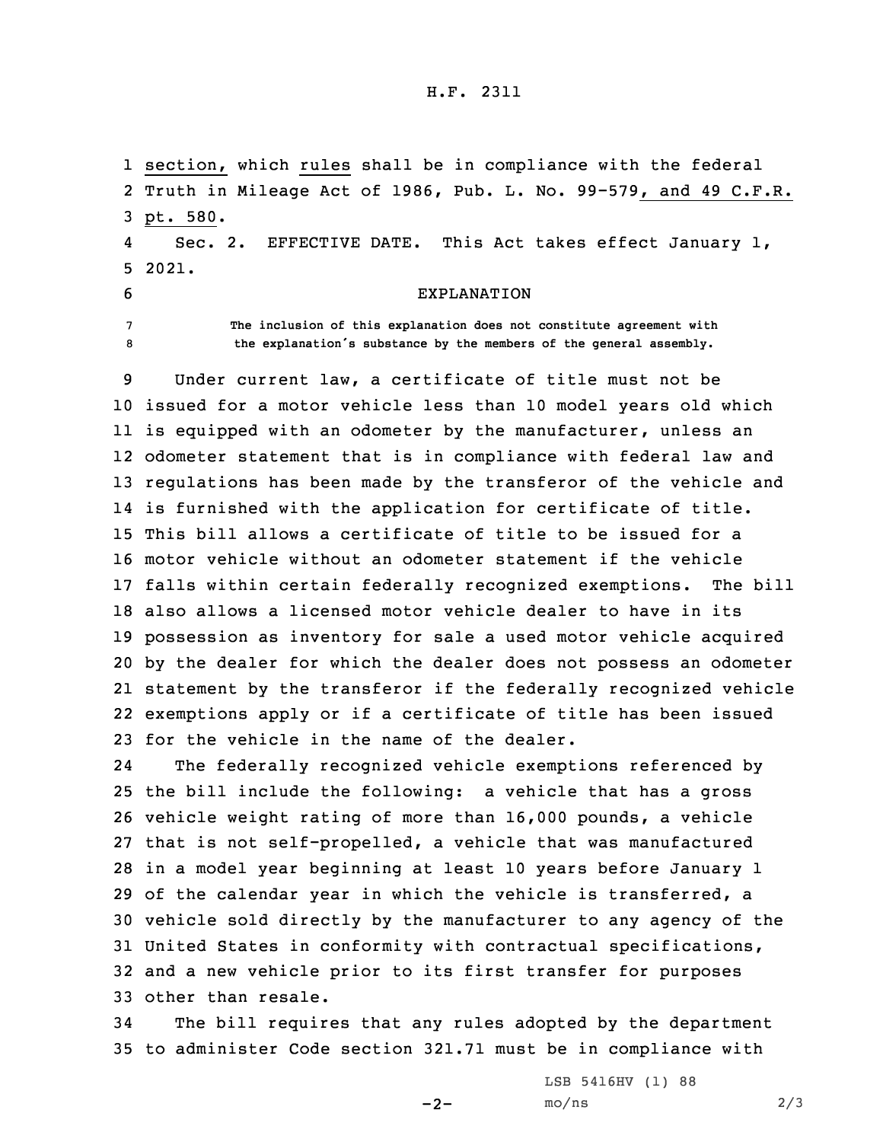## H.F. 2311

1 section, which rules shall be in compliance with the federal 2 Truth in Mileage Act of 1986, Pub. L. No. 99-579, and 49 C.F.R. 3 pt. 580. 4

 Sec. 2. EFFECTIVE DATE. This Act takes effect January 1, 5 2021.

- 
- 

## 6 EXPLANATION

7 **The inclusion of this explanation does not constitute agreement with** <sup>8</sup> **the explanation's substance by the members of the general assembly.**

 Under current law, <sup>a</sup> certificate of title must not be issued for <sup>a</sup> motor vehicle less than 10 model years old which is equipped with an odometer by the manufacturer, unless an odometer statement that is in compliance with federal law and regulations has been made by the transferor of the vehicle and is furnished with the application for certificate of title. This bill allows <sup>a</sup> certificate of title to be issued for <sup>a</sup> motor vehicle without an odometer statement if the vehicle falls within certain federally recognized exemptions. The bill also allows <sup>a</sup> licensed motor vehicle dealer to have in its possession as inventory for sale <sup>a</sup> used motor vehicle acquired by the dealer for which the dealer does not possess an odometer statement by the transferor if the federally recognized vehicle exemptions apply or if <sup>a</sup> certificate of title has been issued for the vehicle in the name of the dealer.

24 The federally recognized vehicle exemptions referenced by the bill include the following: <sup>a</sup> vehicle that has <sup>a</sup> gross vehicle weight rating of more than 16,000 pounds, <sup>a</sup> vehicle that is not self-propelled, <sup>a</sup> vehicle that was manufactured in <sup>a</sup> model year beginning at least 10 years before January 1 of the calendar year in which the vehicle is transferred, <sup>a</sup> vehicle sold directly by the manufacturer to any agency of the United States in conformity with contractual specifications, and <sup>a</sup> new vehicle prior to its first transfer for purposes other than resale.

34 The bill requires that any rules adopted by the department 35 to administer Code section 321.71 must be in compliance with

 $-2-$ 

LSB 5416HV (1) 88  $mo/ns$  2/3